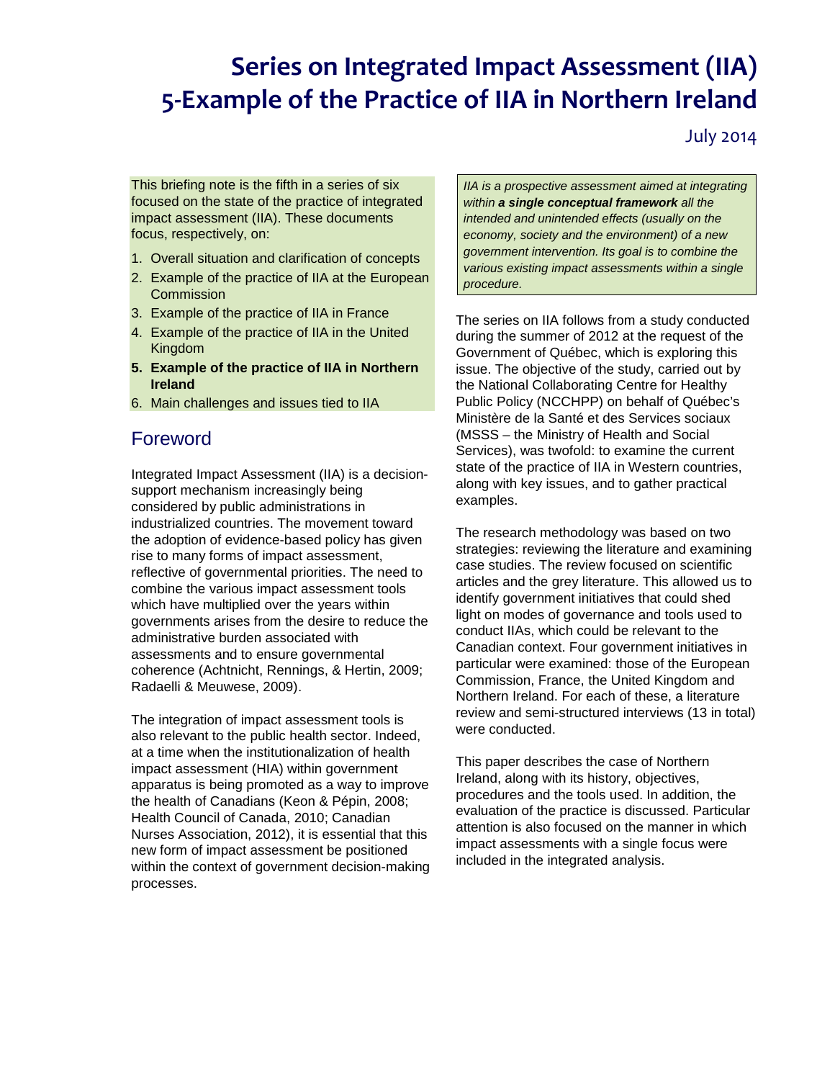# **Series on Integrated Impact Assessment (IIA) 5-Example of the Practice of IIA in Northern Ireland**

July 2014

This briefing note is the fifth in a series of six focused on the state of the practice of integrated impact assessment (IIA). These documents focus, respectively, on:

- 1. Overall situation and clarification of concepts
- 2. Example of the practice of IIA at the European **Commission**
- 3. Example of the practice of IIA in France
- 4. Example of the practice of IIA in the United Kingdom
- **5. Example of the practice of IIA in Northern Ireland**
- 6. Main challenges and issues tied to IIA

### Foreword

Integrated Impact Assessment (IIA) is a decisionsupport mechanism increasingly being considered by public administrations in industrialized countries. The movement toward the adoption of evidence-based policy has given rise to many forms of impact assessment, reflective of governmental priorities. The need to combine the various impact assessment tools which have multiplied over the years within governments arises from the desire to reduce the administrative burden associated with assessments and to ensure governmental coherence (Achtnicht, Rennings, & Hertin, 2009; Radaelli & Meuwese, 2009).

The integration of impact assessment tools is also relevant to the public health sector. Indeed, at a time when the institutionalization of health impact assessment (HIA) within government apparatus is being promoted as a way to improve the health of Canadians (Keon & Pépin, 2008; Health Council of Canada, 2010; Canadian Nurses Association, 2012), it is essential that this new form of impact assessment be positioned within the context of government decision-making processes.

*IIA is a prospective assessment aimed at integrating within a single conceptual framework all the intended and unintended effects (usually on the economy, society and the environment) of a new government intervention. Its goal is to combine the various existing impact assessments within a single procedure.*

The series on IIA follows from a study conducted during the summer of 2012 at the request of the Government of Québec, which is exploring this issue. The objective of the study, carried out by the National Collaborating Centre for Healthy Public Policy (NCCHPP) on behalf of Québec's Ministère de la Santé et des Services sociaux (MSSS – the Ministry of Health and Social Services), was twofold: to examine the current state of the practice of IIA in Western countries, along with key issues, and to gather practical examples.

The research methodology was based on two strategies: reviewing the literature and examining case studies. The review focused on scientific articles and the grey literature. This allowed us to identify government initiatives that could shed light on modes of governance and tools used to conduct IIAs, which could be relevant to the Canadian context. Four government initiatives in particular were examined: those of the European Commission, France, the United Kingdom and Northern Ireland. For each of these, a literature review and semi-structured interviews (13 in total) were conducted.

This paper describes the case of Northern Ireland, along with its history, objectives, procedures and the tools used. In addition, the evaluation of the practice is discussed. Particular attention is also focused on the manner in which impact assessments with a single focus were included in the integrated analysis.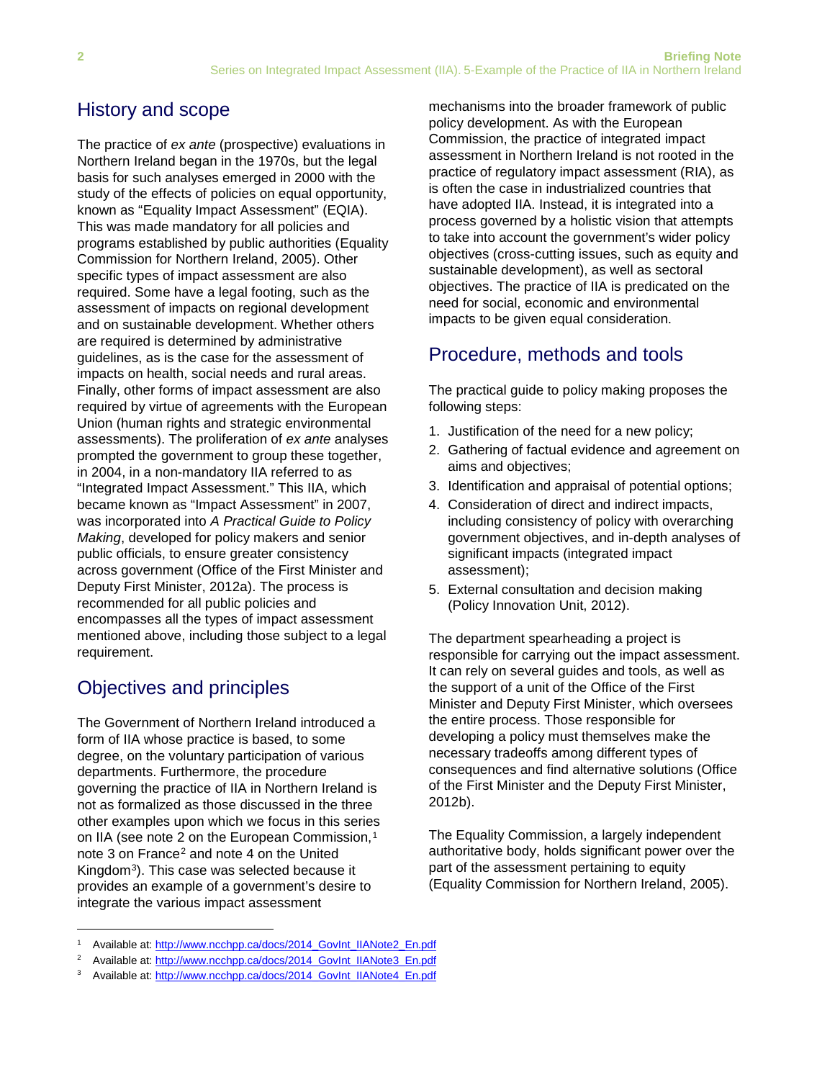# History and scope

The practice of *ex ante* (prospective) evaluations in Northern Ireland began in the 1970s, but the legal basis for such analyses emerged in 2000 with the study of the effects of policies on equal opportunity, known as "Equality Impact Assessment" (EQIA). This was made mandatory for all policies and programs established by public authorities (Equality Commission for Northern Ireland, 2005). Other specific types of impact assessment are also required. Some have a legal footing, such as the assessment of impacts on regional development and on sustainable development. Whether others are required is determined by administrative guidelines, as is the case for the assessment of impacts on health, social needs and rural areas. Finally, other forms of impact assessment are also required by virtue of agreements with the European Union (human rights and strategic environmental assessments). The proliferation of *ex ante* analyses prompted the government to group these together, in 2004, in a non-mandatory IIA referred to as "Integrated Impact Assessment." This IIA, which became known as "Impact Assessment" in 2007, was incorporated into *A Practical Guide to Policy Making*, developed for policy makers and senior public officials, to ensure greater consistency across government (Office of the First Minister and Deputy First Minister, 2012a). The process is recommended for all public policies and encompasses all the types of impact assessment mentioned above, including those subject to a legal requirement.

# Objectives and principles

1

The Government of Northern Ireland introduced a form of IIA whose practice is based, to some degree, on the voluntary participation of various departments. Furthermore, the procedure governing the practice of IIA in Northern Ireland is not as formalized as those discussed in the three other examples upon which we focus in this series on IIA (see note 2 on the European Commission,<sup>[1](#page-1-0)</sup> note 3 on France<sup>[2](#page-1-1)</sup> and note 4 on the United Kingdom[3](#page-1-2)). This case was selected because it provides an example of a government's desire to integrate the various impact assessment

mechanisms into the broader framework of public policy development. As with the European Commission, the practice of integrated impact assessment in Northern Ireland is not rooted in the practice of regulatory impact assessment (RIA), as is often the case in industrialized countries that have adopted IIA. Instead, it is integrated into a process governed by a holistic vision that attempts to take into account the government's wider policy objectives (cross-cutting issues, such as equity and sustainable development), as well as sectoral objectives. The practice of IIA is predicated on the need for social, economic and environmental impacts to be given equal consideration.

# Procedure, methods and tools

The practical guide to policy making proposes the following steps:

- 1. Justification of the need for a new policy;
- 2. Gathering of factual evidence and agreement on aims and objectives;
- 3. Identification and appraisal of potential options;
- 4. Consideration of direct and indirect impacts, including consistency of policy with overarching government objectives, and in-depth analyses of significant impacts (integrated impact assessment);
- 5. External consultation and decision making (Policy Innovation Unit, 2012).

The department spearheading a project is responsible for carrying out the impact assessment. It can rely on several guides and tools, as well as the support of a unit of the Office of the First Minister and Deputy First Minister, which oversees the entire process. Those responsible for developing a policy must themselves make the necessary tradeoffs among different types of consequences and find alternative solutions (Office of the First Minister and the Deputy First Minister, 2012b).

The Equality Commission, a largely independent authoritative body, holds significant power over the part of the assessment pertaining to equity (Equality Commission for Northern Ireland, 2005).

<span id="page-1-0"></span>Available at: [http://www.ncchpp.ca/docs/2014\\_GovInt\\_IIANote2\\_En.pdf](http://www.ncchpp.ca/docs/2014_GovInt_IIANote2_En.pdf)

<span id="page-1-1"></span>Available at: [http://www.ncchpp.ca/docs/2014\\_GovInt\\_IIANote3\\_En.pdf](http://www.ncchpp.ca/docs/2014_GovInt_IIANote3_En.pdf)

<span id="page-1-2"></span>Available at: [http://www.ncchpp.ca/docs/2014\\_GovInt\\_IIANote4\\_En.pdf](http://www.ncchpp.ca/docs/2014_GovInt_IIANote4_En.pdf)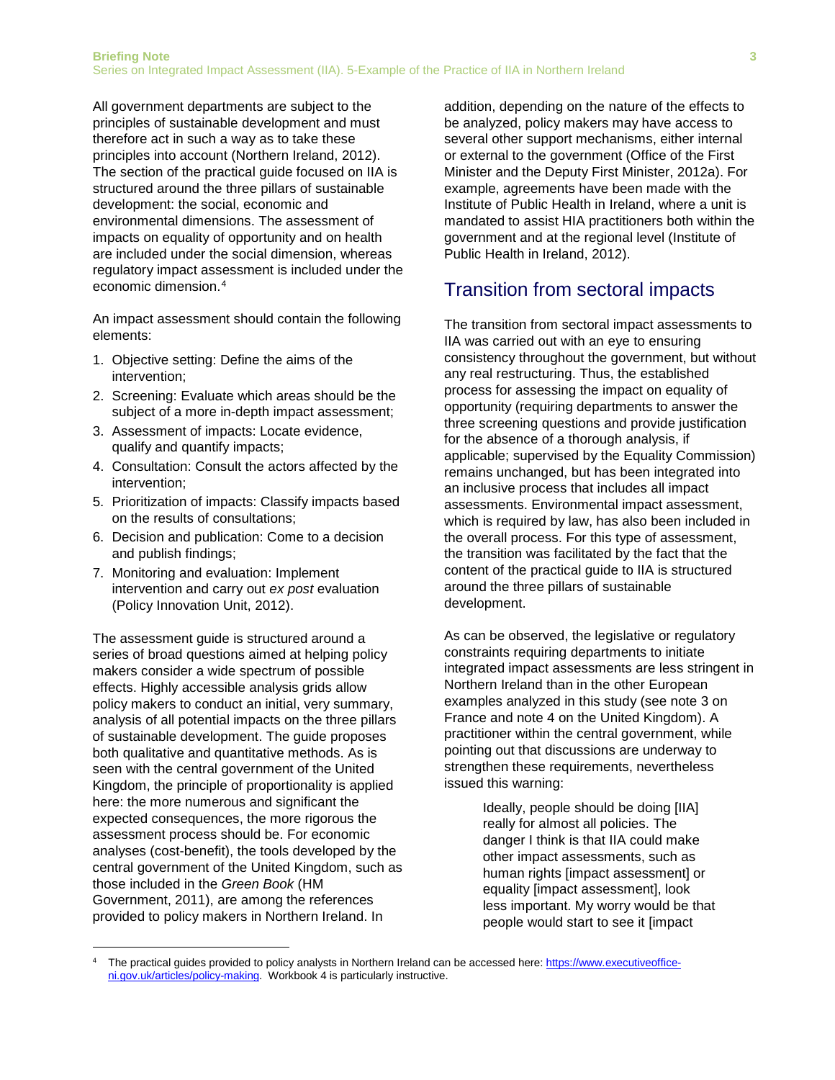All government departments are subject to the principles of sustainable development and must therefore act in such a way as to take these principles into account (Northern Ireland, 2012). The section of the practical guide focused on IIA is structured around the three pillars of sustainable development: the social, economic and environmental dimensions. The assessment of impacts on equality of opportunity and on health are included under the social dimension, whereas regulatory impact assessment is included under the economic dimension.[4](#page-2-0)

An impact assessment should contain the following elements:

- 1. Objective setting: Define the aims of the intervention;
- 2. Screening: Evaluate which areas should be the subject of a more in-depth impact assessment;
- 3. Assessment of impacts: Locate evidence, qualify and quantify impacts;
- 4. Consultation: Consult the actors affected by the intervention;
- 5. Prioritization of impacts: Classify impacts based on the results of consultations;
- 6. Decision and publication: Come to a decision and publish findings;
- 7. Monitoring and evaluation: Implement intervention and carry out *ex post* evaluation (Policy Innovation Unit, 2012).

The assessment guide is structured around a series of broad questions aimed at helping policy makers consider a wide spectrum of possible effects. Highly accessible analysis grids allow policy makers to conduct an initial, very summary, analysis of all potential impacts on the three pillars of sustainable development. The guide proposes both qualitative and quantitative methods. As is seen with the central government of the United Kingdom, the principle of proportionality is applied here: the more numerous and significant the expected consequences, the more rigorous the assessment process should be. For economic analyses (cost-benefit), the tools developed by the central government of the United Kingdom, such as those included in the *Green Book* (HM Government, 2011), are among the references provided to policy makers in Northern Ireland. In

 $\overline{a}$ 

addition, depending on the nature of the effects to be analyzed, policy makers may have access to several other support mechanisms, either internal or external to the government (Office of the First Minister and the Deputy First Minister, 2012a). For example, agreements have been made with the Institute of Public Health in Ireland, where a unit is mandated to assist HIA practitioners both within the government and at the regional level (Institute of Public Health in Ireland, 2012).

#### Transition from sectoral impacts

The transition from sectoral impact assessments to IIA was carried out with an eye to ensuring consistency throughout the government, but without any real restructuring. Thus, the established process for assessing the impact on equality of opportunity (requiring departments to answer the three screening questions and provide justification for the absence of a thorough analysis, if applicable; supervised by the Equality Commission) remains unchanged, but has been integrated into an inclusive process that includes all impact assessments. Environmental impact assessment, which is required by law, has also been included in the overall process. For this type of assessment, the transition was facilitated by the fact that the content of the practical guide to IIA is structured around the three pillars of sustainable development.

As can be observed, the legislative or regulatory constraints requiring departments to initiate integrated impact assessments are less stringent in Northern Ireland than in the other European examples analyzed in this study (see note 3 on France and note 4 on the United Kingdom). A practitioner within the central government, while pointing out that discussions are underway to strengthen these requirements, nevertheless issued this warning:

> Ideally, people should be doing [IIA] really for almost all policies. The danger I think is that IIA could make other impact assessments, such as human rights [impact assessment] or equality [impact assessment], look less important. My worry would be that people would start to see it [impact

<span id="page-2-0"></span>The practical guides provided to policy analysts in Northern Ireland can be accessed here: [https://www.executiveoffice](https://www.executiveoffice-ni.gov.uk/articles/policy-making)[ni.gov.uk/articles/policy-making.](https://www.executiveoffice-ni.gov.uk/articles/policy-making) Workbook 4 is particularly instructive.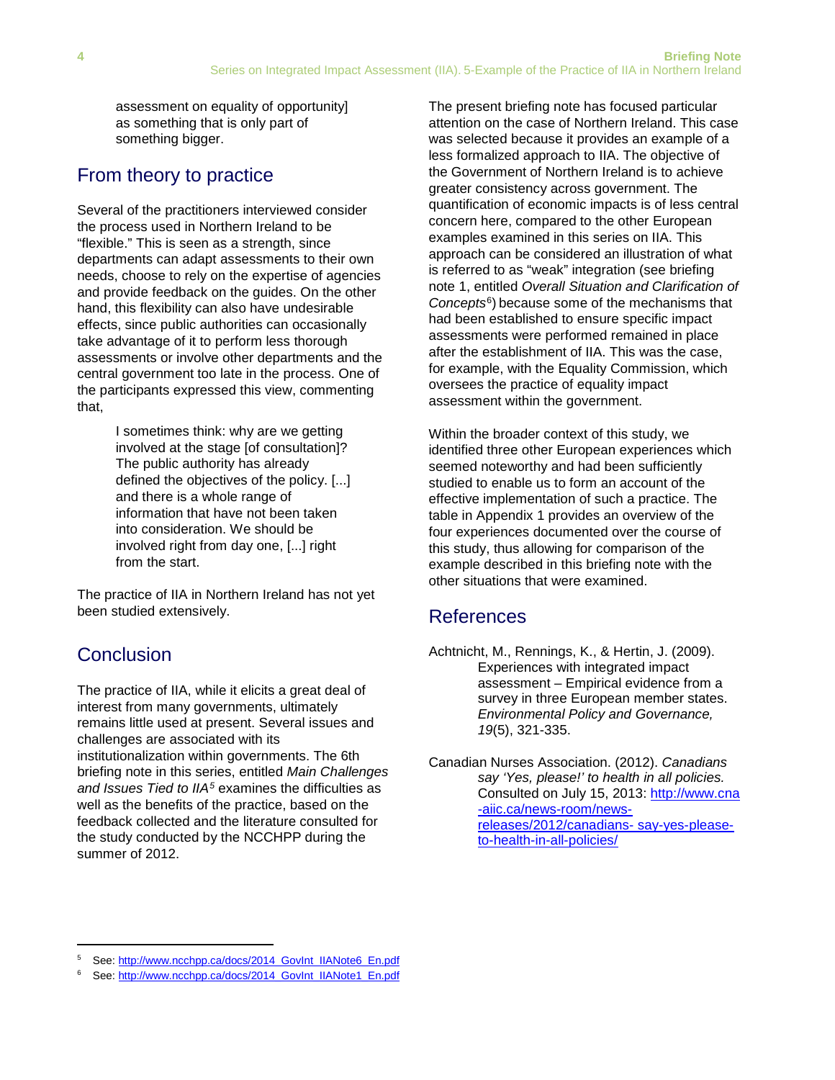assessment on equality of opportunity] as something that is only part of something bigger.

### From theory to practice

Several of the practitioners interviewed consider the process used in Northern Ireland to be "flexible." This is seen as a strength, since departments can adapt assessments to their own needs, choose to rely on the expertise of agencies and provide feedback on the guides. On the other hand, this flexibility can also have undesirable effects, since public authorities can occasionally take advantage of it to perform less thorough assessments or involve other departments and the central government too late in the process. One of the participants expressed this view, commenting that,

> I sometimes think: why are we getting involved at the stage [of consultation]? The public authority has already defined the objectives of the policy. [...] and there is a whole range of information that have not been taken into consideration. We should be involved right from day one, [...] right from the start.

The practice of IIA in Northern Ireland has not yet been studied extensively.

# **Conclusion**

**.** 

The practice of IIA, while it elicits a great deal of interest from many governments, ultimately remains little used at present. Several issues and challenges are associated with its institutionalization within governments. The 6th briefing note in this series, entitled *Main Challenges and Issues Tied to IIA[5](#page-3-0)* examines the difficulties as well as the benefits of the practice, based on the feedback collected and the literature consulted for the study conducted by the NCCHPP during the summer of 2012.

The present briefing note has focused particular attention on the case of Northern Ireland. This case was selected because it provides an example of a less formalized approach to IIA. The objective of the Government of Northern Ireland is to achieve greater consistency across government. The quantification of economic impacts is of less central concern here, compared to the other European examples examined in this series on IIA. This approach can be considered an illustration of what is referred to as "weak" integration (see briefing note 1, entitled *Overall Situation and Clarification of Concepts*[6\)](#page-3-1) because some of the mechanisms that had been established to ensure specific impact assessments were performed remained in place after the establishment of IIA. This was the case, for example, with the Equality Commission, which oversees the practice of equality impact assessment within the government.

Within the broader context of this study, we identified three other European experiences which seemed noteworthy and had been sufficiently studied to enable us to form an account of the effective implementation of such a practice. The table in Appendix 1 provides an overview of the four experiences documented over the course of this study, thus allowing for comparison of the example described in this briefing note with the other situations that were examined.

### References

- Achtnicht, M., Rennings, K., & Hertin, J. (2009). Experiences with integrated impact assessment – Empirical evidence from a survey in three European member states. *Environmental Policy and Governance, 19*(5), 321-335.
- Canadian Nurses Association. (2012). *Canadians say 'Yes, please!' to health in all policies.* Consulted on July 15, 2013: [http://www.cna](http://www.cna-aiic.ca/news-room/news-releases/2012/canadians-%20say-yes-please-to-health-in-all-policies/) [-aiic.ca/news-room/news](http://www.cna-aiic.ca/news-room/news-releases/2012/canadians-%20say-yes-please-to-health-in-all-policies/)[releases/2012/canadians- say-yes-please](http://www.cna-aiic.ca/news-room/news-releases/2012/canadians-%20say-yes-please-to-health-in-all-policies/)[to-health-in-all-policies/](http://www.cna-aiic.ca/news-room/news-releases/2012/canadians-%20say-yes-please-to-health-in-all-policies/)

<span id="page-3-0"></span><sup>5</sup> See[: http://www.ncchpp.ca/docs/2014\\_GovInt\\_IIANote6\\_En.pdf](http://www.ncchpp.ca/docs/2014_GovInt_IIANote6_En.pdf)

<span id="page-3-1"></span><sup>6</sup> See[: http://www.ncchpp.ca/docs/2014\\_GovInt\\_IIANote1\\_En.pdf](http://www.ncchpp.ca/docs/2014_GovInt_IIANote1_En.pdf)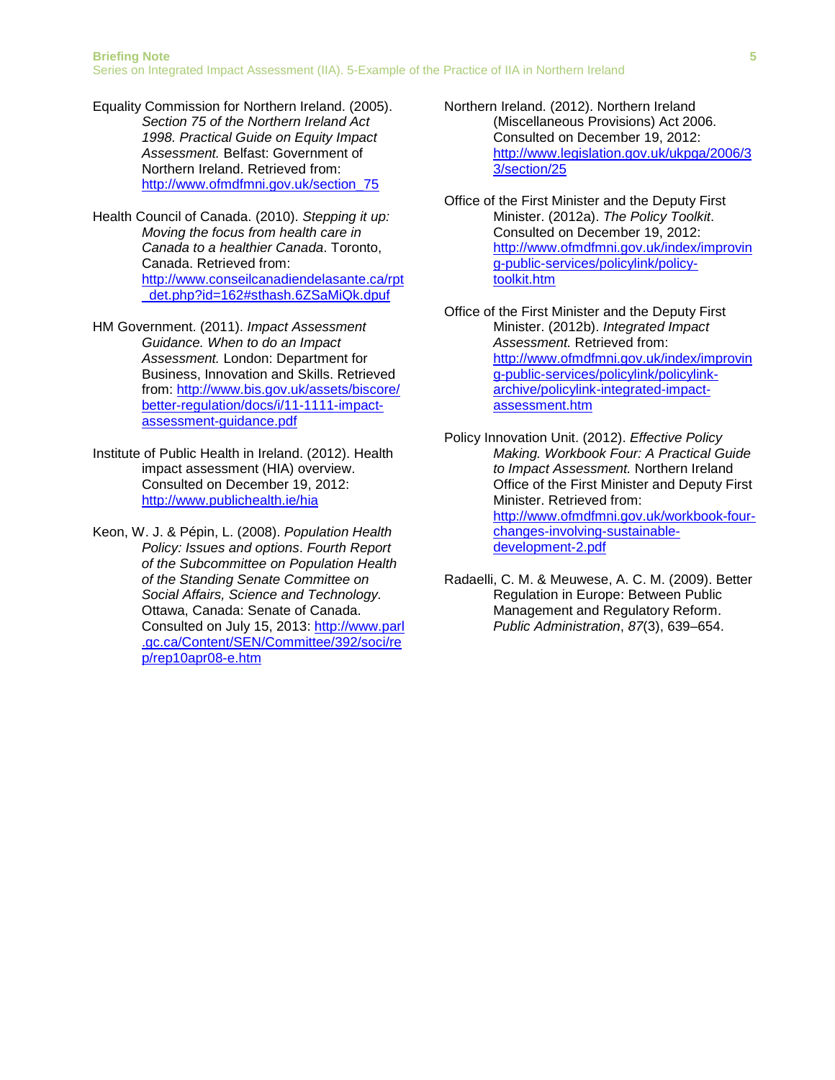- Equality Commission for Northern Ireland. (2005). *Section 75 of the Northern Ireland Act 1998. Practical Guide on Equity Impact Assessment.* Belfast: Government of Northern Ireland. Retrieved from: [http://www.ofmdfmni.gov.uk/section\\_75](http://www.ofmdfmni.gov.uk/section_75)
- Health Council of Canada. (2010). *Stepping it up: Moving the focus from health care in Canada to a healthier Canada*. Toronto, Canada. Retrieved from: [http://www.conseilcanadiendelasante.ca/rpt](http://www.conseilcanadiendelasante.ca/rpt_det.php?id=162#sthash.6ZSaMiQk.dpuf) [\\_det.php?id=162#sthash.6ZSaMiQk.dpuf](http://www.conseilcanadiendelasante.ca/rpt_det.php?id=162#sthash.6ZSaMiQk.dpuf)
- HM Government. (2011). *Impact Assessment Guidance. When to do an Impact Assessment.* London: Department for Business, Innovation and Skills. Retrieved from: [http://www.bis.gov.uk/assets/biscore/](http://www.bis.gov.uk/assets/biscore/better-regulation/docs/i/11-1111-impact-assessment-guidance.pdf) [better-regulation/docs/i/11-1111-impact](http://www.bis.gov.uk/assets/biscore/better-regulation/docs/i/11-1111-impact-assessment-guidance.pdf)[assessment-guidance.pdf](http://www.bis.gov.uk/assets/biscore/better-regulation/docs/i/11-1111-impact-assessment-guidance.pdf)
- Institute of Public Health in Ireland. (2012). Health impact assessment (HIA) overview. Consulted on December 19, 2012: <http://www.publichealth.ie/hia>
- Keon, W. J. & Pépin, L. (2008). *Population Health Policy: Issues and options*. *Fourth Report of the Subcommittee on Population Health of the Standing Senate Committee on Social Affairs, Science and Technology.*  Ottawa, Canada: Senate of Canada. Consulted on July 15, 2013: [http://www.parl](http://www.parl.gc.ca/Content/SEN/Committee/392/soci/rep/rep10apr08-e.htm) [.gc.ca/Content/SEN/Committee/392/soci/re](http://www.parl.gc.ca/Content/SEN/Committee/392/soci/rep/rep10apr08-e.htm) [p/rep10apr08-e.htm](http://www.parl.gc.ca/Content/SEN/Committee/392/soci/rep/rep10apr08-e.htm)
- Northern Ireland. (2012). Northern Ireland (Miscellaneous Provisions) Act 2006. Consulted on December 19, 2012: [http://www.legislation.gov.uk/ukpga/2006/3](http://www.legislation.gov.uk/ukpga/2006/33/section/25) [3/section/25](http://www.legislation.gov.uk/ukpga/2006/33/section/25)
- Office of the First Minister and the Deputy First Minister. (2012a). *The Policy Toolkit*. Consulted on December 19, 2012: [http://www.ofmdfmni.gov.uk/index/improvin](http://www.ofmdfmni.gov.uk/index/improving-public-services/policylink/policy-toolkit.htm) [g-public-services/policylink/policy](http://www.ofmdfmni.gov.uk/index/improving-public-services/policylink/policy-toolkit.htm)[toolkit.htm](http://www.ofmdfmni.gov.uk/index/improving-public-services/policylink/policy-toolkit.htm)
- Office of the First Minister and the Deputy First Minister. (2012b). *Integrated Impact Assessment.* Retrieved from: [http://www.ofmdfmni.gov.uk/index/improvin](http://www.ofmdfmni.gov.uk/index/improving-public-services/policylink/policylink-archive/policylink-integrated-impact-assessment.htm) [g-public-services/policylink/policylink](http://www.ofmdfmni.gov.uk/index/improving-public-services/policylink/policylink-archive/policylink-integrated-impact-assessment.htm)[archive/policylink-integrated-impact](http://www.ofmdfmni.gov.uk/index/improving-public-services/policylink/policylink-archive/policylink-integrated-impact-assessment.htm)[assessment.htm](http://www.ofmdfmni.gov.uk/index/improving-public-services/policylink/policylink-archive/policylink-integrated-impact-assessment.htm)
- Policy Innovation Unit. (2012). *Effective Policy Making. Workbook Four: A Practical Guide to Impact Assessment.* Northern Ireland Office of the First Minister and Deputy First Minister. Retrieved from: [http://www.ofmdfmni.gov.uk/workbook-four](http://www.ofmdfmni.gov.uk/workbook-four-changes-involving-sustainable-development-2.pdf)[changes-involving-sustainable](http://www.ofmdfmni.gov.uk/workbook-four-changes-involving-sustainable-development-2.pdf)[development-2.pdf](http://www.ofmdfmni.gov.uk/workbook-four-changes-involving-sustainable-development-2.pdf)
- Radaelli, C. M. & Meuwese, A. C. M. (2009). Better Regulation in Europe: Between Public Management and Regulatory Reform. *Public Administration*, *87*(3), 639–654.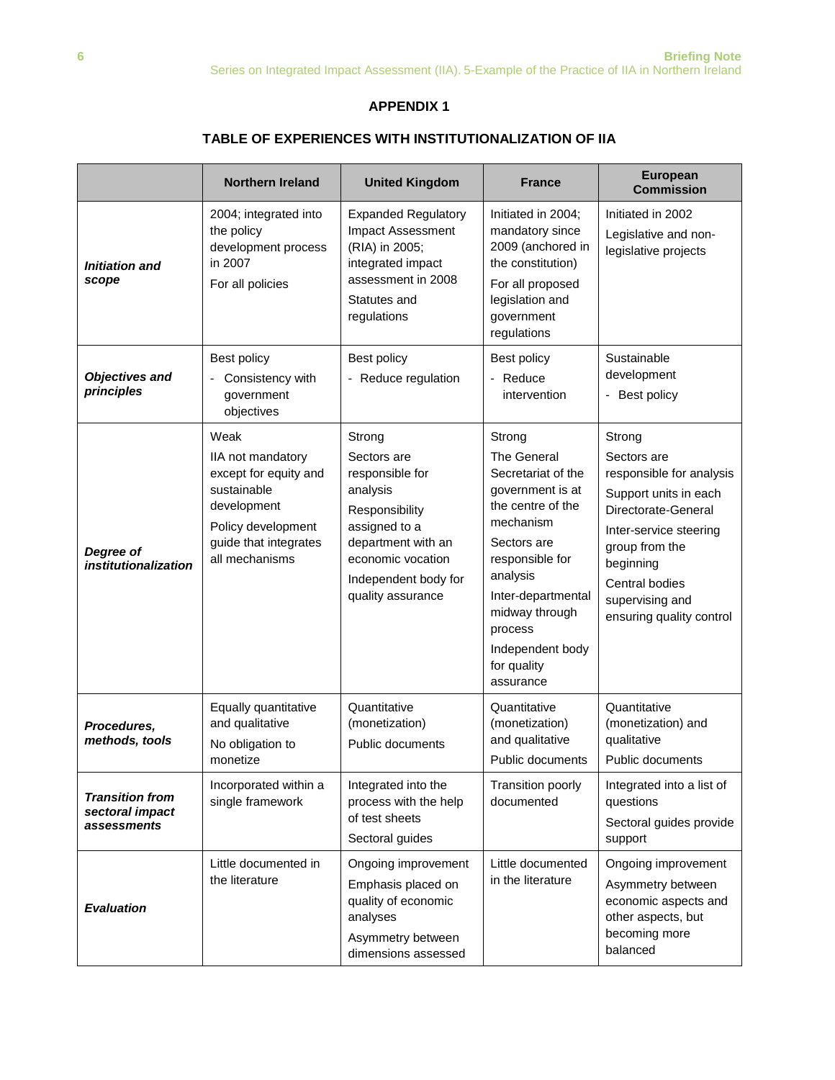#### **APPENDIX 1**

#### **TABLE OF EXPERIENCES WITH INSTITUTIONALIZATION OF IIA**

|                                                          | <b>Northern Ireland</b>                                                                                                                           | <b>United Kingdom</b>                                                                                                                                                           | <b>France</b>                                                                                                                                                                                                                                      | <b>European</b><br><b>Commission</b>                                                                                                                                                                                        |
|----------------------------------------------------------|---------------------------------------------------------------------------------------------------------------------------------------------------|---------------------------------------------------------------------------------------------------------------------------------------------------------------------------------|----------------------------------------------------------------------------------------------------------------------------------------------------------------------------------------------------------------------------------------------------|-----------------------------------------------------------------------------------------------------------------------------------------------------------------------------------------------------------------------------|
| <b>Initiation and</b><br>scope                           | 2004; integrated into<br>the policy<br>development process<br>in 2007<br>For all policies                                                         | <b>Expanded Regulatory</b><br>Impact Assessment<br>(RIA) in 2005;<br>integrated impact<br>assessment in 2008<br>Statutes and<br>regulations                                     | Initiated in 2004;<br>mandatory since<br>2009 (anchored in<br>the constitution)<br>For all proposed<br>legislation and<br>government<br>regulations                                                                                                | Initiated in 2002<br>Legislative and non-<br>legislative projects                                                                                                                                                           |
| <b>Objectives and</b><br>principles                      | Best policy<br>Consistency with<br>government<br>objectives                                                                                       | Best policy<br>- Reduce regulation                                                                                                                                              | Best policy<br>- Reduce<br>intervention                                                                                                                                                                                                            | Sustainable<br>development<br>- Best policy                                                                                                                                                                                 |
| Degree of<br>institutionalization                        | Weak<br>IIA not mandatory<br>except for equity and<br>sustainable<br>development<br>Policy development<br>guide that integrates<br>all mechanisms | Strong<br>Sectors are<br>responsible for<br>analysis<br>Responsibility<br>assigned to a<br>department with an<br>economic vocation<br>Independent body for<br>quality assurance | Strong<br>The General<br>Secretariat of the<br>government is at<br>the centre of the<br>mechanism<br>Sectors are<br>responsible for<br>analysis<br>Inter-departmental<br>midway through<br>process<br>Independent body<br>for quality<br>assurance | Strong<br>Sectors are<br>responsible for analysis<br>Support units in each<br>Directorate-General<br>Inter-service steering<br>group from the<br>beginning<br>Central bodies<br>supervising and<br>ensuring quality control |
| Procedures,<br>methods, tools                            | Equally quantitative<br>and qualitative<br>No obligation to<br>monetize                                                                           | Quantitative<br>(monetization)<br>Public documents                                                                                                                              | Quantitative<br>(monetization)<br>and qualitative<br>Public documents                                                                                                                                                                              | Quantitative<br>(monetization) and<br>qualitative<br>Public documents                                                                                                                                                       |
| <b>Transition from</b><br>sectoral impact<br>assessments | Incorporated within a<br>single framework                                                                                                         | Integrated into the<br>process with the help<br>of test sheets<br>Sectoral guides                                                                                               | Transition poorly<br>documented                                                                                                                                                                                                                    | Integrated into a list of<br>questions<br>Sectoral guides provide<br>support                                                                                                                                                |
| <b>Evaluation</b>                                        | Little documented in<br>the literature                                                                                                            | Ongoing improvement<br>Emphasis placed on<br>quality of economic<br>analyses<br>Asymmetry between<br>dimensions assessed                                                        | Little documented<br>in the literature                                                                                                                                                                                                             | Ongoing improvement<br>Asymmetry between<br>economic aspects and<br>other aspects, but<br>becoming more<br>balanced                                                                                                         |